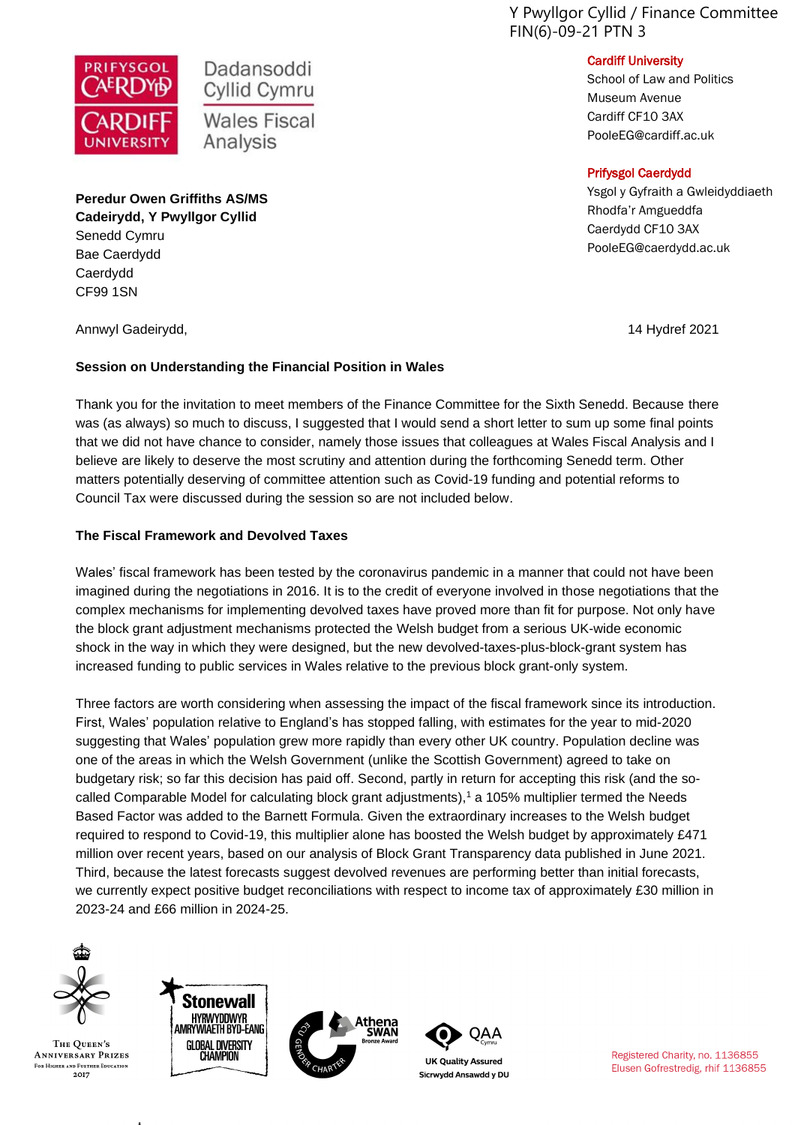Y Pwyllgor Cyllid / Finance Committee FIN(6)-09-21 PTN 3



School of Law and Politics Museum Avenue Cardiff CF10 3AX PooleEG@cardiff.ac.uk

#### Prifysgol Caerdydd

Ysgol y Gyfraith a Gwleidyddiaeth Rhodfa'r Amgueddfa Caerdydd CF10 3AX PooleEG@caerdydd.ac.uk

# **PRIFYSGOL**

Cyllid Cymru **Wales Fiscal** Analysis

Dadansoddi

**Peredur Owen Griffiths AS/MS Cadeirydd, Y Pwyllgor Cyllid** Senedd Cymru Bae Caerdydd Caerdydd CF99 1SN

Annwyl Gadeirydd, 14 Hydref 2021

# **Session on Understanding the Financial Position in Wales**

Thank you for the invitation to meet members of the Finance Committee for the Sixth Senedd. Because there was (as always) so much to discuss, I suggested that I would send a short letter to sum up some final points that we did not have chance to consider, namely those issues that colleagues at Wales Fiscal Analysis and I believe are likely to deserve the most scrutiny and attention during the forthcoming Senedd term. Other matters potentially deserving of committee attention such as Covid-19 funding and potential reforms to Council Tax were discussed during the session so are not included below.

## **The Fiscal Framework and Devolved Taxes**

Wales' fiscal framework has been tested by the coronavirus pandemic in a manner that could not have been imagined during the negotiations in 2016. It is to the credit of everyone involved in those negotiations that the complex mechanisms for implementing devolved taxes have proved more than fit for purpose. Not only have the block grant adjustment mechanisms protected the Welsh budget from a serious UK-wide economic shock in the way in which they were designed, but the new devolved-taxes-plus-block-grant system has increased funding to public services in Wales relative to the previous block grant-only system.

Three factors are worth considering when assessing the impact of the fiscal framework since its introduction. First, Wales' population relative to England's has stopped falling, with estimates for the year to mid-2020 suggesting that Wales' population grew more rapidly than every other UK country. Population decline was one of the areas in which the Welsh Government (unlike the Scottish Government) agreed to take on budgetary risk; so far this decision has paid off. Second, partly in return for accepting this risk (and the socalled Comparable Model for calculating block grant adjustments),<sup>1</sup> a 105% multiplier termed the Needs Based Factor was added to the Barnett Formula. Given the extraordinary increases to the Welsh budget required to respond to Covid-19, this multiplier alone has boosted the Welsh budget by approximately £471 million over recent years, based on our analysis of Block Grant Transparency data published in June 2021. Third, because the latest forecasts suggest devolved revenues are performing better than initial forecasts, we currently expect positive budget reconciliations with respect to income tax of approximately £30 million in 2023-24 and £66 million in 2024-25.



THE OUEEN'S **ANNIVERSARY PRIZES FOR HIGHER AND FURTHER EDUCATION** 2017







**UK Quality Assured** Sicrwydd Ansawdd y DU

Registered Charity, no. 1136855 Elusen Gofrestredig, rhif 1136855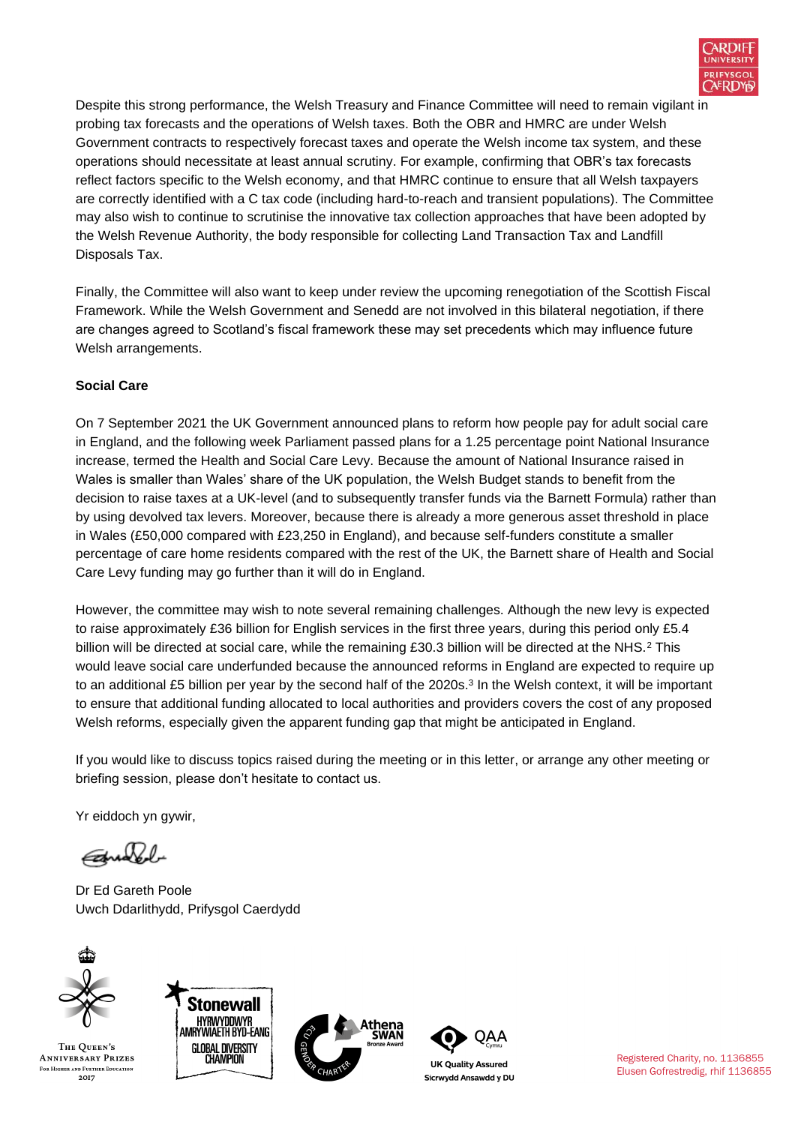

Despite this strong performance, the Welsh Treasury and Finance Committee will need to remain vigilant in probing tax forecasts and the operations of Welsh taxes. Both the OBR and HMRC are under Welsh Government contracts to respectively forecast taxes and operate the Welsh income tax system, and these operations should necessitate at least annual scrutiny. For example, confirming that OBR's tax forecasts reflect factors specific to the Welsh economy, and that HMRC continue to ensure that all Welsh taxpayers are correctly identified with a C tax code (including hard-to-reach and transient populations). The Committee may also wish to continue to scrutinise the innovative tax collection approaches that have been adopted by the Welsh Revenue Authority, the body responsible for collecting Land Transaction Tax and Landfill Disposals Tax.

Finally, the Committee will also want to keep under review the upcoming renegotiation of the Scottish Fiscal Framework. While the Welsh Government and Senedd are not involved in this bilateral negotiation, if there are changes agreed to Scotland's fiscal framework these may set precedents which may influence future Welsh arrangements.

## **Social Care**

On 7 September 2021 the UK Government announced plans to reform how people pay for adult social care in England, and the following week Parliament passed plans for a 1.25 percentage point National Insurance increase, termed the Health and Social Care Levy. Because the amount of National Insurance raised in Wales is smaller than Wales' share of the UK population, the Welsh Budget stands to benefit from the decision to raise taxes at a UK-level (and to subsequently transfer funds via the Barnett Formula) rather than by using devolved tax levers. Moreover, because there is already a more generous asset threshold in place in Wales (£50,000 compared with £23,250 in England), and because self-funders constitute a smaller percentage of care home residents compared with the rest of the UK, the Barnett share of Health and Social Care Levy funding may go further than it will do in England.

However, the committee may wish to note several remaining challenges. Although the new levy is expected to raise approximately £36 billion for English services in the first three years, during this period only £5.4 billion will be directed at social care, while the remaining £30.3 billion will be directed at the NHS.<sup>2</sup> This would leave social care underfunded because the announced reforms in England are expected to require up to an additional £5 billion per year by the second half of the 2020s. 3 In the Welsh context, it will be important to ensure that additional funding allocated to local authorities and providers covers the cost of any proposed Welsh reforms, especially given the apparent funding gap that might be anticipated in England.

If you would like to discuss topics raised during the meeting or in this letter, or arrange any other meeting or briefing session, please don't hesitate to contact us.

Yr eiddoch yn gywir,

Educated

Dr Ed Gareth Poole Uwch Ddarlithydd, Prifysgol Caerdydd



THE OUEEN'S **ANNIVERSARY PRIZES** FOR HIGHER AND FURTHER EDUCATION 2017







**UK Quality Assured** Sicrwydd Ansawdd y DU Registered Charity, no. 1136855 Elusen Gofrestredig, rhif 1136855